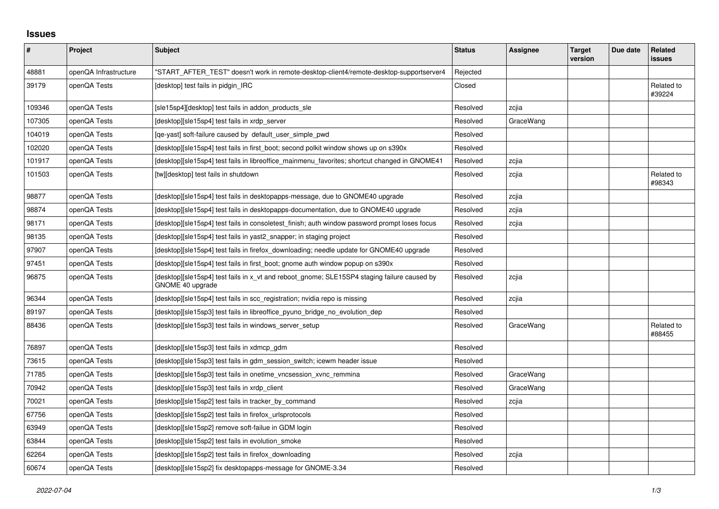## **Issues**

| ∦      | Project               | <b>Subject</b>                                                                                                  | <b>Status</b> | <b>Assignee</b> | <b>Target</b><br>version | Due date | Related<br>issues    |
|--------|-----------------------|-----------------------------------------------------------------------------------------------------------------|---------------|-----------------|--------------------------|----------|----------------------|
| 48881  | openQA Infrastructure | "START_AFTER_TEST" doesn't work in remote-desktop-client4/remote-desktop-supportserver4                         | Rejected      |                 |                          |          |                      |
| 39179  | openQA Tests          | [desktop] test fails in pidgin IRC                                                                              | Closed        |                 |                          |          | Related to<br>#39224 |
| 109346 | openQA Tests          | [sle15sp4][desktop] test fails in addon_products_sle                                                            | Resolved      | zcjia           |                          |          |                      |
| 107305 | openQA Tests          | [desktop][sle15sp4] test fails in xrdp server                                                                   | Resolved      | GraceWang       |                          |          |                      |
| 104019 | openQA Tests          | [ge-yast] soft-failure caused by default user simple pwd                                                        | Resolved      |                 |                          |          |                      |
| 102020 | openQA Tests          | [desktop][sle15sp4] test fails in first_boot; second polkit window shows up on s390x                            | Resolved      |                 |                          |          |                      |
| 101917 | openQA Tests          | [desktop][sle15sp4] test fails in libreoffice mainmenu favorites; shortcut changed in GNOME41                   | Resolved      | zcjia           |                          |          |                      |
| 101503 | openQA Tests          | [tw][desktop] test fails in shutdown                                                                            | Resolved      | zcjia           |                          |          | Related to<br>#98343 |
| 98877  | openQA Tests          | [desktop][sle15sp4] test fails in desktopapps-message, due to GNOME40 upgrade                                   | Resolved      | zcjia           |                          |          |                      |
| 98874  | openQA Tests          | [desktop][sle15sp4] test fails in desktopapps-documentation, due to GNOME40 upgrade                             | Resolved      | zcjia           |                          |          |                      |
| 98171  | openQA Tests          | [desktop][sle15sp4] test fails in consoletest finish; auth window password prompt loses focus                   | Resolved      | zcjia           |                          |          |                      |
| 98135  | openQA Tests          | [desktop][sle15sp4] test fails in yast2_snapper; in staging project                                             | Resolved      |                 |                          |          |                      |
| 97907  | openQA Tests          | [desktop][sle15sp4] test fails in firefox_downloading; needle update for GNOME40 upgrade                        | Resolved      |                 |                          |          |                      |
| 97451  | openQA Tests          | [desktop][sle15sp4] test fails in first boot; gnome auth window popup on s390x                                  | Resolved      |                 |                          |          |                      |
| 96875  | openQA Tests          | [desktop][sle15sp4] test fails in x_vt and reboot_gnome; SLE15SP4 staging failure caused by<br>GNOME 40 upgrade | Resolved      | zcjia           |                          |          |                      |
| 96344  | openQA Tests          | [desktop][sle15sp4] test fails in scc registration; nvidia repo is missing                                      | Resolved      | zcjia           |                          |          |                      |
| 89197  | openQA Tests          | [desktop][sle15sp3] test fails in libreoffice_pyuno_bridge_no_evolution_dep                                     | Resolved      |                 |                          |          |                      |
| 88436  | openQA Tests          | [desktop][sle15sp3] test fails in windows_server_setup                                                          | Resolved      | GraceWang       |                          |          | Related to<br>#88455 |
| 76897  | openQA Tests          | [desktop][sle15sp3] test fails in xdmcp_gdm                                                                     | Resolved      |                 |                          |          |                      |
| 73615  | openQA Tests          | [desktop][sle15sp3] test fails in gdm session switch; icewm header issue                                        | Resolved      |                 |                          |          |                      |
| 71785  | openQA Tests          | [desktop][sle15sp3] test fails in onetime_vncsession_xvnc_remmina                                               | Resolved      | GraceWang       |                          |          |                      |
| 70942  | openQA Tests          | [desktop][sle15sp3] test fails in xrdp client                                                                   | Resolved      | GraceWang       |                          |          |                      |
| 70021  | openQA Tests          | [desktop][sle15sp2] test fails in tracker by command                                                            | Resolved      | zcjia           |                          |          |                      |
| 67756  | openQA Tests          | [desktop][sle15sp2] test fails in firefox_urlsprotocols                                                         | Resolved      |                 |                          |          |                      |
| 63949  | openQA Tests          | [desktop][sle15sp2] remove soft-failue in GDM login                                                             | Resolved      |                 |                          |          |                      |
| 63844  | openQA Tests          | [desktop][sle15sp2] test fails in evolution smoke                                                               | Resolved      |                 |                          |          |                      |
| 62264  | openQA Tests          | [desktop][sle15sp2] test fails in firefox downloading                                                           | Resolved      | zcjia           |                          |          |                      |
| 60674  | openQA Tests          | [desktop][sle15sp2] fix desktopapps-message for GNOME-3.34                                                      | Resolved      |                 |                          |          |                      |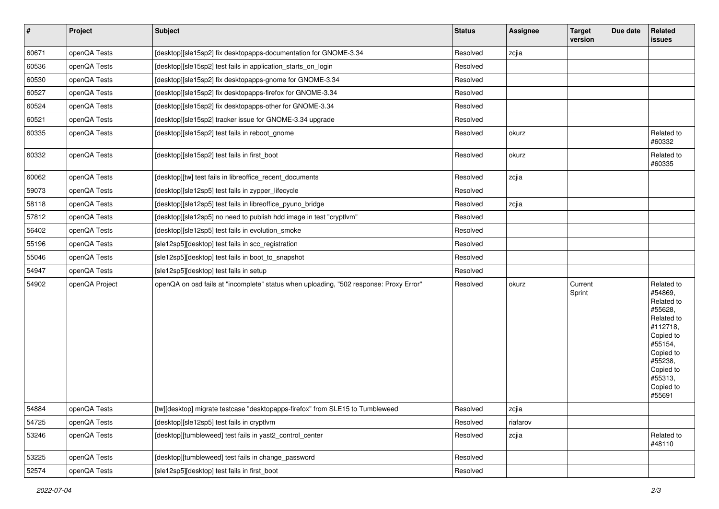| $\vert$ # | Project        | <b>Subject</b>                                                                         | <b>Status</b> | <b>Assignee</b> | <b>Target</b><br>version | Due date | Related<br>issues                                                                                                                                                       |
|-----------|----------------|----------------------------------------------------------------------------------------|---------------|-----------------|--------------------------|----------|-------------------------------------------------------------------------------------------------------------------------------------------------------------------------|
| 60671     | openQA Tests   | [desktop][sle15sp2] fix desktopapps-documentation for GNOME-3.34                       | Resolved      | zcjia           |                          |          |                                                                                                                                                                         |
| 60536     | openQA Tests   | [desktop][sle15sp2] test fails in application_starts_on_login                          | Resolved      |                 |                          |          |                                                                                                                                                                         |
| 60530     | openQA Tests   | [desktop][sle15sp2] fix desktopapps-gnome for GNOME-3.34                               | Resolved      |                 |                          |          |                                                                                                                                                                         |
| 60527     | openQA Tests   | [desktop][sle15sp2] fix desktopapps-firefox for GNOME-3.34                             | Resolved      |                 |                          |          |                                                                                                                                                                         |
| 60524     | openQA Tests   | [desktop][sle15sp2] fix desktopapps-other for GNOME-3.34                               | Resolved      |                 |                          |          |                                                                                                                                                                         |
| 60521     | openQA Tests   | [desktop][sle15sp2] tracker issue for GNOME-3.34 upgrade                               | Resolved      |                 |                          |          |                                                                                                                                                                         |
| 60335     | openQA Tests   | [desktop][sle15sp2] test fails in reboot_gnome                                         | Resolved      | okurz           |                          |          | Related to<br>#60332                                                                                                                                                    |
| 60332     | openQA Tests   | [desktop][sle15sp2] test fails in first_boot                                           | Resolved      | okurz           |                          |          | Related to<br>#60335                                                                                                                                                    |
| 60062     | openQA Tests   | [desktop][tw] test fails in libreoffice_recent_documents                               | Resolved      | zcjia           |                          |          |                                                                                                                                                                         |
| 59073     | openQA Tests   | [desktop][sle12sp5] test fails in zypper_lifecycle                                     | Resolved      |                 |                          |          |                                                                                                                                                                         |
| 58118     | openQA Tests   | [desktop][sle12sp5] test fails in libreoffice_pyuno_bridge                             | Resolved      | zcjia           |                          |          |                                                                                                                                                                         |
| 57812     | openQA Tests   | [desktop][sle12sp5] no need to publish hdd image in test "cryptlvm"                    | Resolved      |                 |                          |          |                                                                                                                                                                         |
| 56402     | openQA Tests   | [desktop][sle12sp5] test fails in evolution_smoke                                      | Resolved      |                 |                          |          |                                                                                                                                                                         |
| 55196     | openQA Tests   | [sle12sp5][desktop] test fails in scc_registration                                     | Resolved      |                 |                          |          |                                                                                                                                                                         |
| 55046     | openQA Tests   | [sle12sp5][desktop] test fails in boot_to_snapshot                                     | Resolved      |                 |                          |          |                                                                                                                                                                         |
| 54947     | openQA Tests   | [sle12sp5][desktop] test fails in setup                                                | Resolved      |                 |                          |          |                                                                                                                                                                         |
| 54902     | openQA Project | openQA on osd fails at "incomplete" status when uploading, "502 response: Proxy Error" | Resolved      | okurz           | Current<br>Sprint        |          | Related to<br>#54869,<br>Related to<br>#55628,<br>Related to<br>#112718,<br>Copied to<br>#55154,<br>Copied to<br>#55238,<br>Copied to<br>#55313,<br>Copied to<br>#55691 |
| 54884     | openQA Tests   | [tw][desktop] migrate testcase "desktopapps-firefox" from SLE15 to Tumbleweed          | Resolved      | zcjia           |                          |          |                                                                                                                                                                         |
| 54725     | openQA Tests   | [desktop][sle12sp5] test fails in cryptlvm                                             | Resolved      | riafarov        |                          |          |                                                                                                                                                                         |
| 53246     | openQA Tests   | [desktop][tumbleweed] test fails in yast2_control_center                               | Resolved      | zcjia           |                          |          | Related to<br>#48110                                                                                                                                                    |
| 53225     | openQA Tests   | [desktop][tumbleweed] test fails in change_password                                    | Resolved      |                 |                          |          |                                                                                                                                                                         |
| 52574     | openQA Tests   | [sle12sp5][desktop] test fails in first_boot                                           | Resolved      |                 |                          |          |                                                                                                                                                                         |